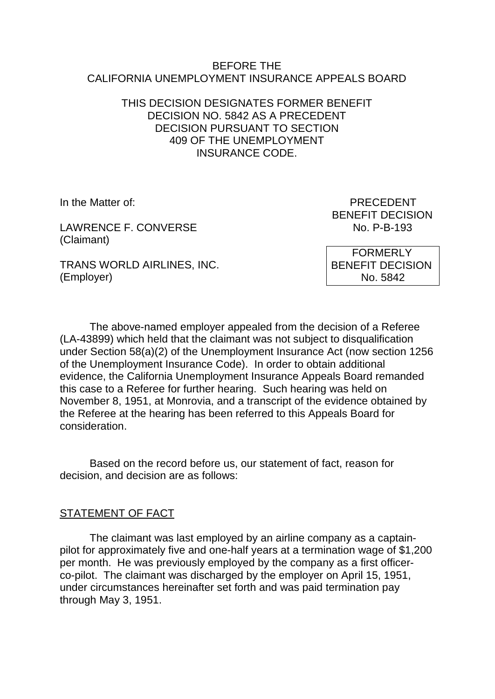#### BEFORE THE CALIFORNIA UNEMPLOYMENT INSURANCE APPEALS BOARD

### THIS DECISION DESIGNATES FORMER BENEFIT DECISION NO. 5842 AS A PRECEDENT DECISION PURSUANT TO SECTION 409 OF THE UNEMPLOYMENT INSURANCE CODE.

LAWRENCE F. CONVERSE NO. P-B-193 (Claimant)

TRANS WORLD AIRLINES, INC. (Employer)

In the Matter of: PRECEDENT BENEFIT DECISION

> FORMERLY BENEFIT DECISION No. 5842

The above-named employer appealed from the decision of a Referee (LA-43899) which held that the claimant was not subject to disqualification under Section 58(a)(2) of the Unemployment Insurance Act (now section 1256 of the Unemployment Insurance Code). In order to obtain additional evidence, the California Unemployment Insurance Appeals Board remanded this case to a Referee for further hearing. Such hearing was held on November 8, 1951, at Monrovia, and a transcript of the evidence obtained by the Referee at the hearing has been referred to this Appeals Board for consideration.

Based on the record before us, our statement of fact, reason for decision, and decision are as follows:

### STATEMENT OF FACT

The claimant was last employed by an airline company as a captainpilot for approximately five and one-half years at a termination wage of \$1,200 per month. He was previously employed by the company as a first officerco-pilot. The claimant was discharged by the employer on April 15, 1951, under circumstances hereinafter set forth and was paid termination pay through May 3, 1951.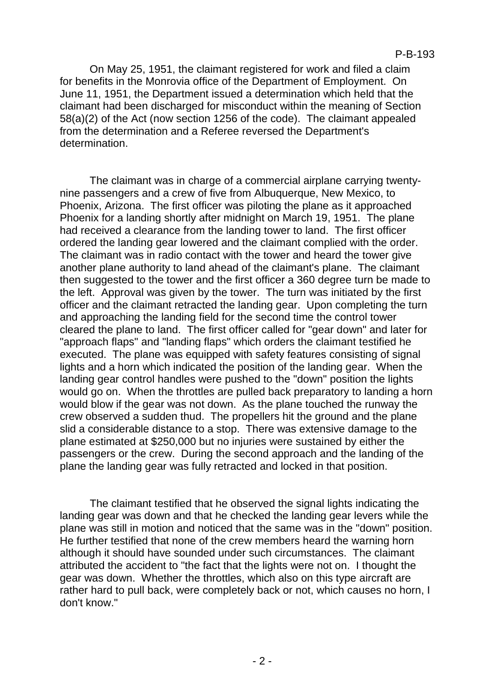On May 25, 1951, the claimant registered for work and filed a claim for benefits in the Monrovia office of the Department of Employment. On June 11, 1951, the Department issued a determination which held that the claimant had been discharged for misconduct within the meaning of Section 58(a)(2) of the Act (now section 1256 of the code). The claimant appealed from the determination and a Referee reversed the Department's determination.

The claimant was in charge of a commercial airplane carrying twentynine passengers and a crew of five from Albuquerque, New Mexico, to Phoenix, Arizona. The first officer was piloting the plane as it approached Phoenix for a landing shortly after midnight on March 19, 1951. The plane had received a clearance from the landing tower to land. The first officer ordered the landing gear lowered and the claimant complied with the order. The claimant was in radio contact with the tower and heard the tower give another plane authority to land ahead of the claimant's plane. The claimant then suggested to the tower and the first officer a 360 degree turn be made to the left. Approval was given by the tower. The turn was initiated by the first officer and the claimant retracted the landing gear. Upon completing the turn and approaching the landing field for the second time the control tower cleared the plane to land. The first officer called for "gear down" and later for "approach flaps" and "landing flaps" which orders the claimant testified he executed. The plane was equipped with safety features consisting of signal lights and a horn which indicated the position of the landing gear. When the landing gear control handles were pushed to the "down" position the lights would go on. When the throttles are pulled back preparatory to landing a horn would blow if the gear was not down. As the plane touched the runway the crew observed a sudden thud. The propellers hit the ground and the plane slid a considerable distance to a stop. There was extensive damage to the plane estimated at \$250,000 but no injuries were sustained by either the passengers or the crew. During the second approach and the landing of the plane the landing gear was fully retracted and locked in that position.

The claimant testified that he observed the signal lights indicating the landing gear was down and that he checked the landing gear levers while the plane was still in motion and noticed that the same was in the "down" position. He further testified that none of the crew members heard the warning horn although it should have sounded under such circumstances. The claimant attributed the accident to "the fact that the lights were not on. I thought the gear was down. Whether the throttles, which also on this type aircraft are rather hard to pull back, were completely back or not, which causes no horn, I don't know."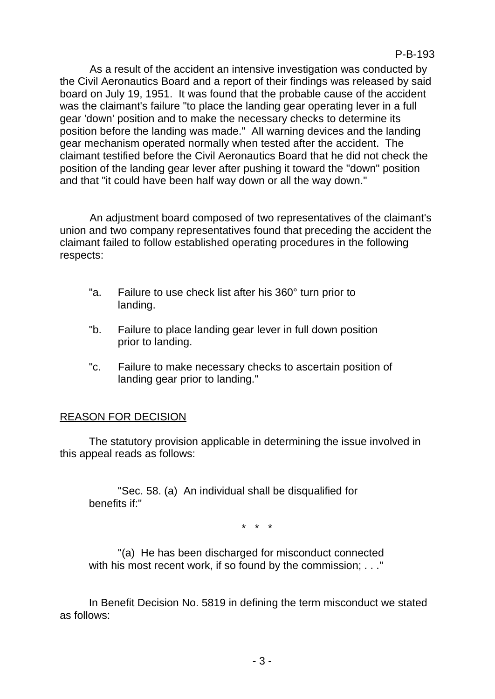As a result of the accident an intensive investigation was conducted by the Civil Aeronautics Board and a report of their findings was released by said board on July 19, 1951. It was found that the probable cause of the accident was the claimant's failure "to place the landing gear operating lever in a full gear 'down' position and to make the necessary checks to determine its position before the landing was made." All warning devices and the landing gear mechanism operated normally when tested after the accident. The claimant testified before the Civil Aeronautics Board that he did not check the position of the landing gear lever after pushing it toward the "down" position and that "it could have been half way down or all the way down."

An adjustment board composed of two representatives of the claimant's union and two company representatives found that preceding the accident the claimant failed to follow established operating procedures in the following respects:

- "a. Failure to use check list after his 360° turn prior to landing.
- "b. Failure to place landing gear lever in full down position prior to landing.
- "c. Failure to make necessary checks to ascertain position of landing gear prior to landing."

# REASON FOR DECISION

The statutory provision applicable in determining the issue involved in this appeal reads as follows:

"Sec. 58. (a) An individual shall be disqualified for benefits if:"

\* \* \*

"(a) He has been discharged for misconduct connected with his most recent work, if so found by the commission; . . ."

In Benefit Decision No. 5819 in defining the term misconduct we stated as follows: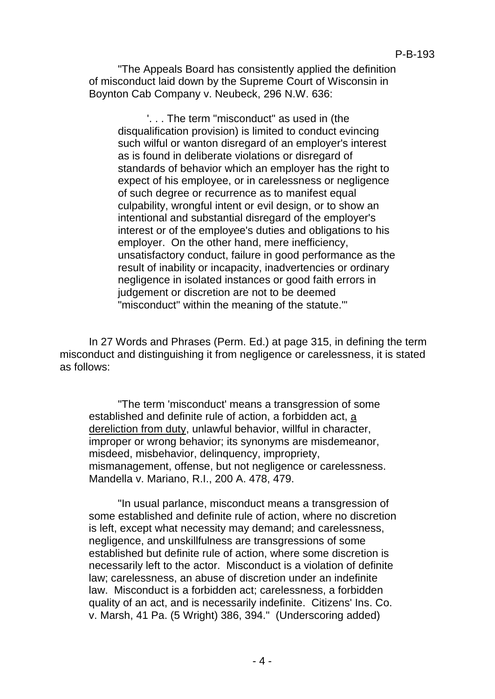"The Appeals Board has consistently applied the definition of misconduct laid down by the Supreme Court of Wisconsin in Boynton Cab Company v. Neubeck, 296 N.W. 636:

'. . . The term "misconduct" as used in (the disqualification provision) is limited to conduct evincing such wilful or wanton disregard of an employer's interest as is found in deliberate violations or disregard of standards of behavior which an employer has the right to expect of his employee, or in carelessness or negligence of such degree or recurrence as to manifest equal culpability, wrongful intent or evil design, or to show an intentional and substantial disregard of the employer's interest or of the employee's duties and obligations to his employer. On the other hand, mere inefficiency, unsatisfactory conduct, failure in good performance as the result of inability or incapacity, inadvertencies or ordinary negligence in isolated instances or good faith errors in judgement or discretion are not to be deemed "misconduct" within the meaning of the statute.'"

In 27 Words and Phrases (Perm. Ed.) at page 315, in defining the term misconduct and distinguishing it from negligence or carelessness, it is stated as follows:

"The term 'misconduct' means a transgression of some established and definite rule of action, a forbidden act, a dereliction from duty, unlawful behavior, willful in character, improper or wrong behavior; its synonyms are misdemeanor, misdeed, misbehavior, delinquency, impropriety, mismanagement, offense, but not negligence or carelessness. Mandella v. Mariano, R.I., 200 A. 478, 479.

"In usual parlance, misconduct means a transgression of some established and definite rule of action, where no discretion is left, except what necessity may demand; and carelessness, negligence, and unskillfulness are transgressions of some established but definite rule of action, where some discretion is necessarily left to the actor. Misconduct is a violation of definite law; carelessness, an abuse of discretion under an indefinite law. Misconduct is a forbidden act; carelessness, a forbidden quality of an act, and is necessarily indefinite. Citizens' Ins. Co. v. Marsh, 41 Pa. (5 Wright) 386, 394." (Underscoring added)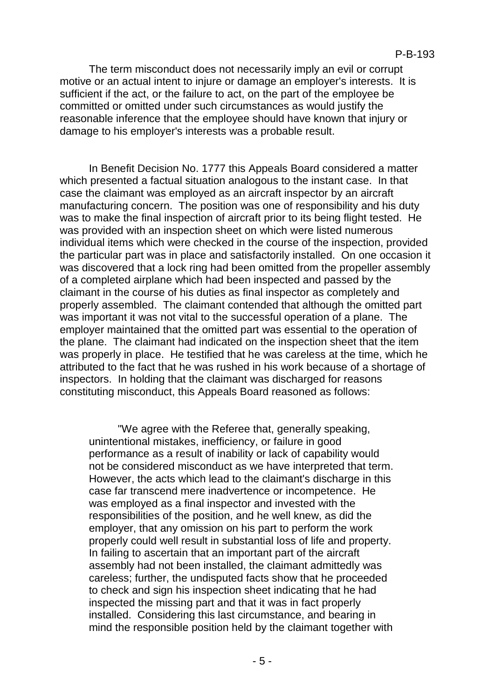The term misconduct does not necessarily imply an evil or corrupt motive or an actual intent to injure or damage an employer's interests. It is sufficient if the act, or the failure to act, on the part of the employee be committed or omitted under such circumstances as would justify the reasonable inference that the employee should have known that injury or damage to his employer's interests was a probable result.

In Benefit Decision No. 1777 this Appeals Board considered a matter which presented a factual situation analogous to the instant case. In that case the claimant was employed as an aircraft inspector by an aircraft manufacturing concern. The position was one of responsibility and his duty was to make the final inspection of aircraft prior to its being flight tested. He was provided with an inspection sheet on which were listed numerous individual items which were checked in the course of the inspection, provided the particular part was in place and satisfactorily installed. On one occasion it was discovered that a lock ring had been omitted from the propeller assembly of a completed airplane which had been inspected and passed by the claimant in the course of his duties as final inspector as completely and properly assembled. The claimant contended that although the omitted part was important it was not vital to the successful operation of a plane. The employer maintained that the omitted part was essential to the operation of the plane. The claimant had indicated on the inspection sheet that the item was properly in place. He testified that he was careless at the time, which he attributed to the fact that he was rushed in his work because of a shortage of inspectors. In holding that the claimant was discharged for reasons constituting misconduct, this Appeals Board reasoned as follows:

"We agree with the Referee that, generally speaking, unintentional mistakes, inefficiency, or failure in good performance as a result of inability or lack of capability would not be considered misconduct as we have interpreted that term. However, the acts which lead to the claimant's discharge in this case far transcend mere inadvertence or incompetence. He was employed as a final inspector and invested with the responsibilities of the position, and he well knew, as did the employer, that any omission on his part to perform the work properly could well result in substantial loss of life and property. In failing to ascertain that an important part of the aircraft assembly had not been installed, the claimant admittedly was careless; further, the undisputed facts show that he proceeded to check and sign his inspection sheet indicating that he had inspected the missing part and that it was in fact properly installed. Considering this last circumstance, and bearing in mind the responsible position held by the claimant together with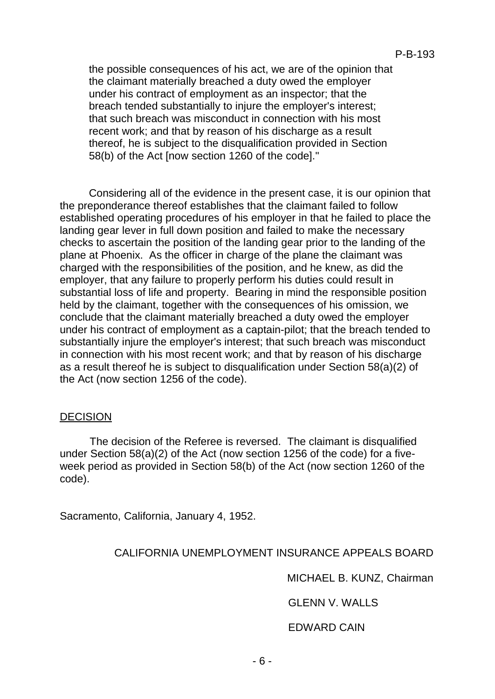the possible consequences of his act, we are of the opinion that the claimant materially breached a duty owed the employer under his contract of employment as an inspector; that the breach tended substantially to injure the employer's interest; that such breach was misconduct in connection with his most recent work; and that by reason of his discharge as a result thereof, he is subject to the disqualification provided in Section 58(b) of the Act [now section 1260 of the code]."

Considering all of the evidence in the present case, it is our opinion that the preponderance thereof establishes that the claimant failed to follow established operating procedures of his employer in that he failed to place the landing gear lever in full down position and failed to make the necessary checks to ascertain the position of the landing gear prior to the landing of the plane at Phoenix. As the officer in charge of the plane the claimant was charged with the responsibilities of the position, and he knew, as did the employer, that any failure to properly perform his duties could result in substantial loss of life and property. Bearing in mind the responsible position held by the claimant, together with the consequences of his omission, we conclude that the claimant materially breached a duty owed the employer under his contract of employment as a captain-pilot; that the breach tended to substantially injure the employer's interest; that such breach was misconduct in connection with his most recent work; and that by reason of his discharge as a result thereof he is subject to disqualification under Section 58(a)(2) of the Act (now section 1256 of the code).

### DECISION

The decision of the Referee is reversed. The claimant is disqualified under Section 58(a)(2) of the Act (now section 1256 of the code) for a fiveweek period as provided in Section 58(b) of the Act (now section 1260 of the code).

Sacramento, California, January 4, 1952.

### CALIFORNIA UNEMPLOYMENT INSURANCE APPEALS BOARD

MICHAEL B. KUNZ, Chairman

GLENN V. WALLS

EDWARD CAIN